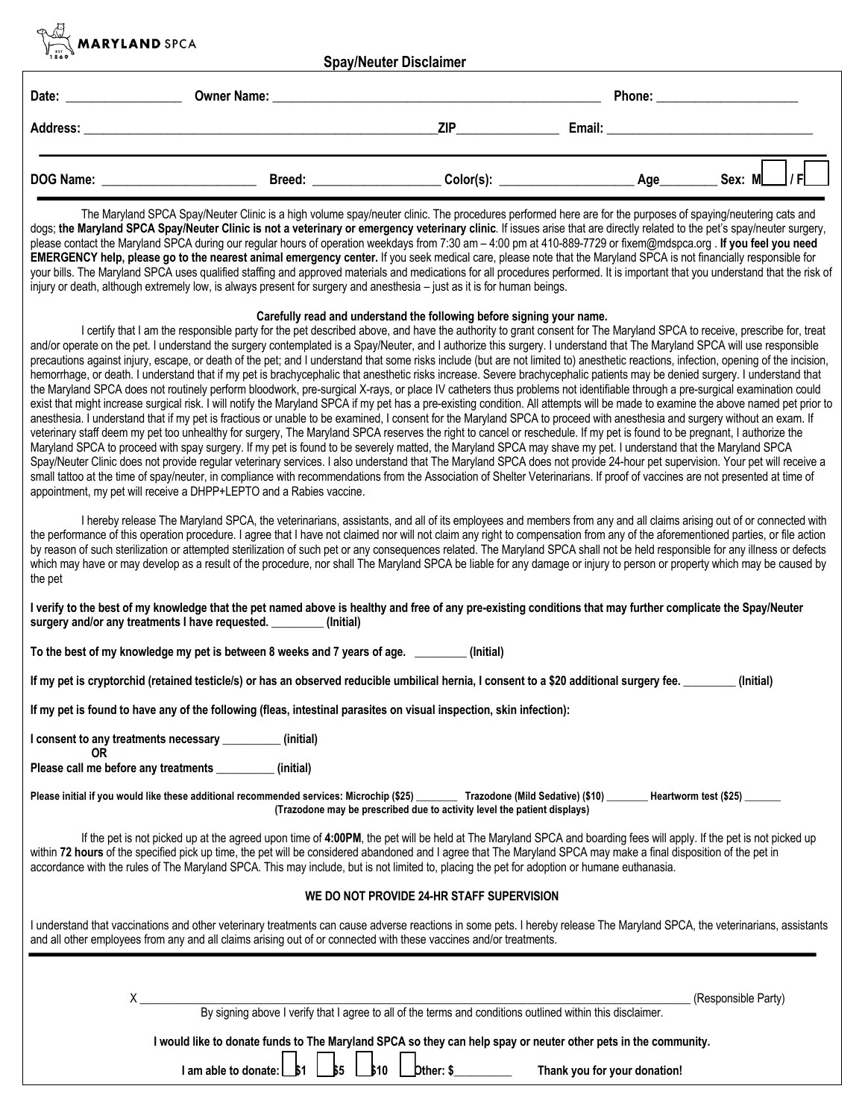

**Spay/Neuter Disclaimer** 

| Date:            | <b>Owner Name:</b> |           | Phone: |             |
|------------------|--------------------|-----------|--------|-------------|
| Address:         |                    | ZIP       | Email: |             |
| <b>DOG Name:</b> | <b>Breed:</b>      | Color(s): | Age    | Ð<br>Sex: M |

The Maryland SPCA Spay/Neuter Clinic is a high volume spay/neuter clinic. The procedures performed here are for the purposes of spaying/neutering cats and dogs; the Maryland SPCA Spay/Neuter Clinic is not a veterinary or emergency veterinary clinic. If issues arise that are directly related to the pet's spay/neuter surgery, please contact the Maryland SPCA during our regular hours of operation weekdays from 7:30 am – 4:00 pm at 410-889-7729 or fixem@mdspca.org . **If you feel you need EMERGENCY help, please go to the nearest animal emergency center.** If you seek medical care, please note that the Maryland SPCA is not financially responsible for your bills. The Maryland SPCA uses qualified staffing and approved materials and medications for all procedures performed. It is important that you understand that the risk of injury or death, although extremely low, is always present for surgery and anesthesia – just as it is for human beings.

## **Carefully read and understand the following before signing your name.**

I certify that I am the responsible party for the pet described above, and have the authority to grant consent for The Maryland SPCA to receive, prescribe for, treat and/or operate on the pet. I understand the surgery contemplated is a Spay/Neuter, and I authorize this surgery. I understand that The Maryland SPCA will use responsible precautions against injury, escape, or death of the pet; and I understand that some risks include (but are not limited to) anesthetic reactions, infection, opening of the incision, hemorrhage, or death. I understand that if my pet is brachycephalic that anesthetic risks increase. Severe brachycephalic patients may be denied surgery. I understand that the Maryland SPCA does not routinely perform bloodwork, pre-surgical X-rays, or place IV catheters thus problems not identifiable through a pre-surgical examination could exist that might increase surgical risk. I will notify the Maryland SPCA if my pet has a pre-existing condition. All attempts will be made to examine the above named pet prior to anesthesia. I understand that if my pet is fractious or unable to be examined, I consent for the Maryland SPCA to proceed with anesthesia and surgery without an exam. If veterinary staff deem my pet too unhealthy for surgery, The Maryland SPCA reserves the right to cancel or reschedule. If my pet is found to be pregnant, I authorize the Maryland SPCA to proceed with spay surgery. If my pet is found to be severely matted, the Maryland SPCA may shave my pet. I understand that the Maryland SPCA Spay/Neuter Clinic does not provide regular veterinary services. I also understand that The Maryland SPCA does not provide 24-hour pet supervision. Your pet will receive a small tattoo at the time of spay/neuter, in compliance with recommendations from the Association of Shelter Veterinarians. If proof of vaccines are not presented at time of appointment, my pet will receive a DHPP+LEPTO and a Rabies vaccine.

I hereby release The Maryland SPCA, the veterinarians, assistants, and all of its employees and members from any and all claims arising out of or connected with the performance of this operation procedure. I agree that I have not claimed nor will not claim any right to compensation from any of the aforementioned parties, or file action by reason of such sterilization or attempted sterilization of such pet or any consequences related. The Maryland SPCA shall not be held responsible for any illness or defects which may have or may develop as a result of the procedure, nor shall The Maryland SPCA be liable for any damage or injury to person or property which may be caused by the pet

**I verify to the best of my knowledge that the pet named above is healthy and free of any pre-existing conditions that may further complicate the Spay/Neuter surgery and/or any treatments I have requested. \_\_\_\_\_\_\_\_\_ (Initial)**

**To the best of my knowledge my pet is between 8 weeks and 7 years of age. \_\_\_\_\_\_\_\_\_ (Initial)**

**If my pet is cryptorchid (retained testicle/s) or has an observed reducible umbilical hernia, I consent to a \$20 additional surgery fee. \_\_\_\_\_\_\_\_\_ (Initial)**

**If my pet is found to have any of the following (fleas, intestinal parasites on visual inspection, skin infection):** 

**I consent to any treatments necessary \_\_\_\_\_\_\_\_\_\_ (initial)** 

**Please call me before any treatments \_\_\_\_\_\_\_\_\_\_ (initial)**

**OR**

Please initial if you would like these additional recommended services: Microchip (\$25) **Trazodone (Mild Sedative) (\$10)** \_\_\_\_\_\_\_ Heartworm test (\$25) **(Trazodone may be prescribed due to activity level the patient displays)**

If the pet is not picked up at the agreed upon time of **4:00PM**, the pet will be held at The Maryland SPCA and boarding fees will apply. If the pet is not picked up within 72 hours of the specified pick up time, the pet will be considered abandoned and I agree that The Maryland SPCA may make a final disposition of the pet in accordance with the rules of The Maryland SPCA. This may include, but is not limited to, placing the pet for adoption or humane euthanasia.

## **WE DO NOT PROVIDE 24-HR STAFF SUPERVISION**

I understand that vaccinations and other veterinary treatments can cause adverse reactions in some pets. I hereby release The Maryland SPCA, the veterinarians, assistants and all other employees from any and all claims arising out of or connected with these vaccines and/or treatments.

| By signing above I verify that I agree to all of the terms and conditions outlined within this disclaimer.                                                                 | (Responsible Party) |  |  |  |  |  |  |
|----------------------------------------------------------------------------------------------------------------------------------------------------------------------------|---------------------|--|--|--|--|--|--|
| I would like to donate funds to The Maryland SPCA so they can help spay or neuter other pets in the community.<br>$\overline{b}$ bther: \$<br>Thank you for your donation! |                     |  |  |  |  |  |  |